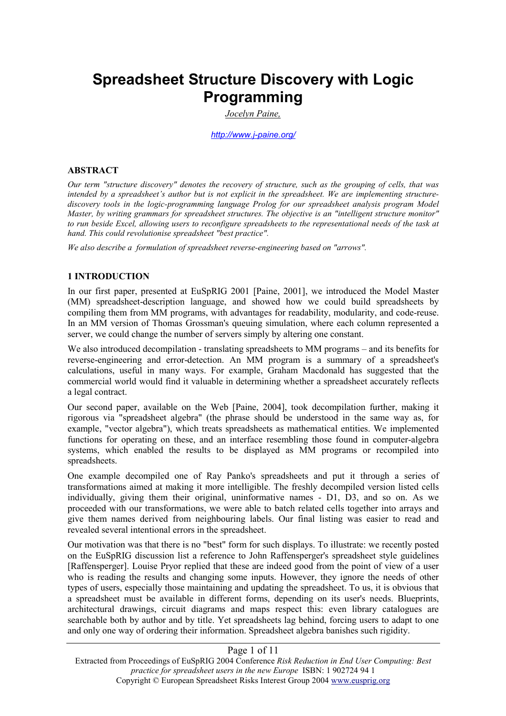# **Spreadsheet Structure Discovery with Logic Programming**

*Jocelyn Paine,*

*http://www.j-paine.org/*

#### **ABSTRACT**

*Our term "structure discovery" denotes the recovery of structure, such as the grouping of cells, that was intended by a spreadsheet's author but is not explicit in the spreadsheet. We are implementing structurediscovery tools in the logic-programming language Prolog for our spreadsheet analysis program Model Master, by writing grammars for spreadsheet structures. The objective is an "intelligent structure monitor" to run beside Excel, allowing users to reconfigure spreadsheets to the representational needs of the task at hand. This could revolutionise spreadsheet "best practice".* 

*We also describe a formulation of spreadsheet reverse-engineering based on "arrows".* 

#### **1 INTRODUCTION**

In our first paper, presented at EuSpRIG 2001 [Paine, 2001], we introduced the Model Master (MM) spreadsheet-description language, and showed how we could build spreadsheets by compiling them from MM programs, with advantages for readability, modularity, and code-reuse. In an MM version of Thomas Grossman's queuing simulation, where each column represented a server, we could change the number of servers simply by altering one constant.

We also introduced decompilation - translating spreadsheets to MM programs – and its benefits for reverse-engineering and error-detection. An MM program is a summary of a spreadsheet's calculations, useful in many ways. For example, Graham Macdonald has suggested that the commercial world would find it valuable in determining whether a spreadsheet accurately reflects a legal contract.

Our second paper, available on the Web [Paine, 2004], took decompilation further, making it rigorous via "spreadsheet algebra" (the phrase should be understood in the same way as, for example, "vector algebra"), which treats spreadsheets as mathematical entities. We implemented functions for operating on these, and an interface resembling those found in computer-algebra systems, which enabled the results to be displayed as MM programs or recompiled into spreadsheets.

One example decompiled one of Ray Panko's spreadsheets and put it through a series of transformations aimed at making it more intelligible. The freshly decompiled version listed cells individually, giving them their original, uninformative names - D1, D3, and so on. As we proceeded with our transformations, we were able to batch related cells together into arrays and give them names derived from neighbouring labels. Our final listing was easier to read and revealed several intentional errors in the spreadsheet.

Our motivation was that there is no "best" form for such displays. To illustrate: we recently posted on the EuSpRIG discussion list a reference to John Raffensperger's spreadsheet style guidelines [Raffensperger]. Louise Pryor replied that these are indeed good from the point of view of a user who is reading the results and changing some inputs. However, they ignore the needs of other types of users, especially those maintaining and updating the spreadsheet. To us, it is obvious that a spreadsheet must be available in different forms, depending on its user's needs. Blueprints, architectural drawings, circuit diagrams and maps respect this: even library catalogues are searchable both by author and by title. Yet spreadsheets lag behind, forcing users to adapt to one and only one way of ordering their information. Spreadsheet algebra banishes such rigidity.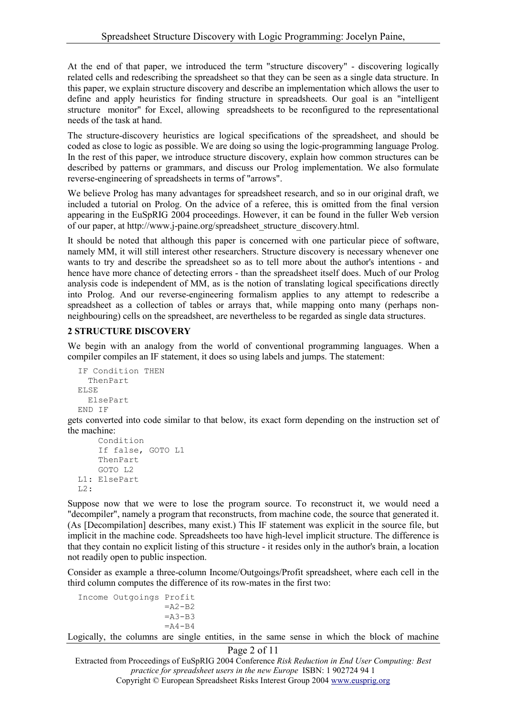At the end of that paper, we introduced the term "structure discovery" - discovering logically related cells and redescribing the spreadsheet so that they can be seen as a single data structure. In this paper, we explain structure discovery and describe an implementation which allows the user to define and apply heuristics for finding structure in spreadsheets. Our goal is an "intelligent structure monitor" for Excel, allowing spreadsheets to be reconfigured to the representational needs of the task at hand.

The structure-discovery heuristics are logical specifications of the spreadsheet, and should be coded as close to logic as possible. We are doing so using the logic-programming language Prolog. In the rest of this paper, we introduce structure discovery, explain how common structures can be described by patterns or grammars, and discuss our Prolog implementation. We also formulate reverse-engineering of spreadsheets in terms of "arrows".

We believe Prolog has many advantages for spreadsheet research, and so in our original draft, we included a tutorial on Prolog. On the advice of a referee, this is omitted from the final version appearing in the EuSpRIG 2004 proceedings. However, it can be found in the fuller Web version of our paper, at http://www.j-paine.org/spreadsheet\_structure\_discovery.html.

It should be noted that although this paper is concerned with one particular piece of software, namely MM, it will still interest other researchers. Structure discovery is necessary whenever one wants to try and describe the spreadsheet so as to tell more about the author's intentions - and hence have more chance of detecting errors - than the spreadsheet itself does. Much of our Prolog analysis code is independent of MM, as is the notion of translating logical specifications directly into Prolog. And our reverse-engineering formalism applies to any attempt to redescribe a spreadsheet as a collection of tables or arrays that, while mapping onto many (perhaps nonneighbouring) cells on the spreadsheet, are nevertheless to be regarded as single data structures.

## **2 STRUCTURE DISCOVERY**

We begin with an analogy from the world of conventional programming languages. When a compiler compiles an IF statement, it does so using labels and jumps. The statement:

```
IF Condition THEN 
  ThenPart 
ELSE 
  ElsePart 
END IF
```
gets converted into code similar to that below, its exact form depending on the instruction set of the machine:

```
Condition 
    If false, GOTO L1 
    ThenPart 
    GOTO L2 
L1: ElsePart 
L2:
```
Suppose now that we were to lose the program source. To reconstruct it, we would need a "decompiler", namely a program that reconstructs, from machine code, the source that generated it. (As [Decompilation] describes, many exist.) This IF statement was explicit in the source file, but implicit in the machine code. Spreadsheets too have high-level implicit structure. The difference is that they contain no explicit listing of this structure - it resides only in the author's brain, a location not readily open to public inspection.

Consider as example a three-column Income/Outgoings/Profit spreadsheet, where each cell in the third column computes the difference of its row-mates in the first two:

```
Income Outgoings Profit 
                  =A2-B2=A3 - B3=A4 - B4
```
Logically, the columns are single entities, in the same sense in which the block of machine

```
Page 2 of 11
```
Extracted from Proceedings of EuSpRIG 2004 Conference *Risk Reduction in End User Computing: Best practice for spreadsheet users in the new Europe* ISBN: 1 902724 94 1

Copyright © European Spreadsheet Risks Interest Group 2004 www.eusprig.org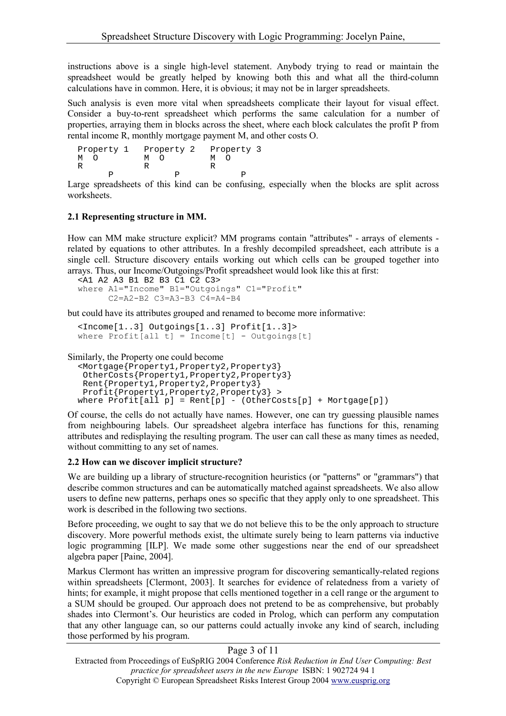instructions above is a single high-level statement. Anybody trying to read or maintain the spreadsheet would be greatly helped by knowing both this and what all the third-column calculations have in common. Here, it is obvious; it may not be in larger spreadsheets.

Such analysis is even more vital when spreadsheets complicate their layout for visual effect. Consider a buy-to-rent spreadsheet which performs the same calculation for a number of properties, arraying them in blocks across the sheet, where each block calculates the profit P from rental income R, monthly mortgage payment M, and other costs O.

| Property 1<br>M | Property 2<br>M | Property 3<br>M |
|-----------------|-----------------|-----------------|
|                 |                 |                 |
|                 |                 |                 |

Large spreadsheets of this kind can be confusing, especially when the blocks are split across worksheets.

## **2.1 Representing structure in MM.**

How can MM make structure explicit? MM programs contain "attributes" - arrays of elements related by equations to other attributes. In a freshly decompiled spreadsheet, each attribute is a single cell. Structure discovery entails working out which cells can be grouped together into arrays. Thus, our Income/Outgoings/Profit spreadsheet would look like this at first:

```
 <A1 A2 A3 B1 B2 B3 C1 C2 C3>
where A1="Income" B1="Outgoings" C1="Profit"
      C2=A2-B2 C3=A3-B3 C4=A4-B4
```
but could have its attributes grouped and renamed to become more informative:

```
 <Income[1..3] Outgoings[1..3] Profit[1..3]>
where Profit[all t] = Income[t] - Outgoing[t]
```

```
Similarly, the Property one could become
```

```
 <Mortgage{Property1,Property2,Property3} 
  OtherCosts{Property1,Property2,Property3} 
 Rent{Property1,Property2,Property3} 
 Profit{Property1, Property2, Property3} >
where Profit[a11 p] = Rent[p] - (OtherCosts[p] + Mortrage[p])
```
Of course, the cells do not actually have names. However, one can try guessing plausible names from neighbouring labels. Our spreadsheet algebra interface has functions for this, renaming attributes and redisplaying the resulting program. The user can call these as many times as needed, without committing to any set of names.

## **2.2 How can we discover implicit structure?**

We are building up a library of structure-recognition heuristics (or "patterns" or "grammars") that describe common structures and can be automatically matched against spreadsheets. We also allow users to define new patterns, perhaps ones so specific that they apply only to one spreadsheet. This work is described in the following two sections.

Before proceeding, we ought to say that we do not believe this to be the only approach to structure discovery. More powerful methods exist, the ultimate surely being to learn patterns via inductive logic programming [ILP]. We made some other suggestions near the end of our spreadsheet algebra paper [Paine, 2004].

Markus Clermont has written an impressive program for discovering semantically-related regions within spreadsheets [Clermont, 2003]. It searches for evidence of relatedness from a variety of hints; for example, it might propose that cells mentioned together in a cell range or the argument to a SUM should be grouped. Our approach does not pretend to be as comprehensive, but probably shades into Clermont's. Our heuristics are coded in Prolog, which can perform any computation that any other language can, so our patterns could actually invoke any kind of search, including those performed by his program.

## Page 3 of 11

Extracted from Proceedings of EuSpRIG 2004 Conference *Risk Reduction in End User Computing: Best practice for spreadsheet users in the new Europe* ISBN: 1 902724 94 1 Copyright © European Spreadsheet Risks Interest Group 2004 www.eusprig.org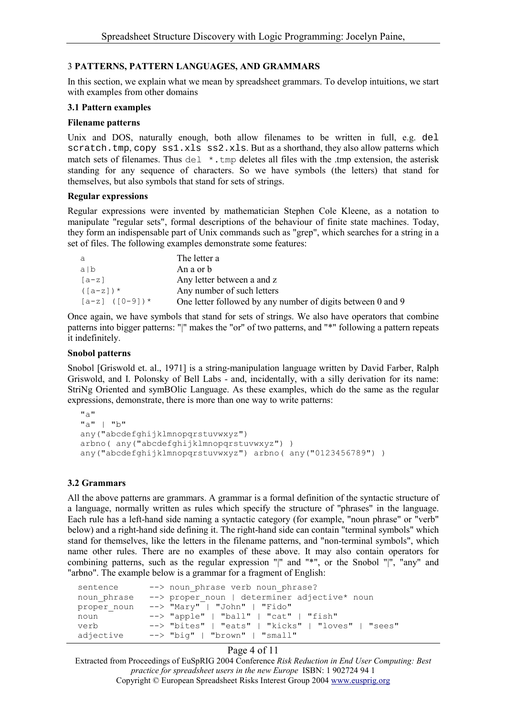## 3 **PATTERNS, PATTERN LANGUAGES, AND GRAMMARS**

In this section, we explain what we mean by spreadsheet grammars. To develop intuitions, we start with examples from other domains

## **3.1 Pattern examples**

#### **Filename patterns**

Unix and DOS, naturally enough, both allow filenames to be written in full, e.g. del scratch.tmp, copy  $ss1.xls$  ss2.xls. But as a shorthand, they also allow patterns which match sets of filenames. Thus del  $\star$ , tmp deletes all files with the .tmp extension, the asterisk standing for any sequence of characters. So we have symbols (the letters) that stand for themselves, but also symbols that stand for sets of strings.

#### **Regular expressions**

Regular expressions were invented by mathematician Stephen Cole Kleene, as a notation to manipulate "regular sets", formal descriptions of the behaviour of finite state machines. Today, they form an indispensable part of Unix commands such as "grep", which searches for a string in a set of files. The following examples demonstrate some features:

| а                    | The letter a                                                |
|----------------------|-------------------------------------------------------------|
| alb                  | An a or b                                                   |
| [a-z]                | Any letter between a and z                                  |
| $([a-z])$ *          | Any number of such letters                                  |
| $[a-z]$ ( $[0-9]$ )* | One letter followed by any number of digits between 0 and 9 |

Once again, we have symbols that stand for sets of strings. We also have operators that combine patterns into bigger patterns: "|" makes the "or" of two patterns, and "\*" following a pattern repeats it indefinitely.

#### **Snobol patterns**

Snobol [Griswold et. al., 1971] is a string-manipulation language written by David Farber, Ralph Griswold, and I. Polonsky of Bell Labs - and, incidentally, with a silly derivation for its name: StriNg Oriented and symBOlic Language. As these examples, which do the same as the regular expressions, demonstrate, there is more than one way to write patterns:

```
"a""a" | "b"
any("abcdefghijklmnopgrstuvwxyz")
arbno( any("abcdefghijklmnopqrstuvwxyz") )
any("abcdefghijklmnopqrstuvwxyz") arbno( any("0123456789") )
```
# **3.2 Grammars**

All the above patterns are grammars. A grammar is a formal definition of the syntactic structure of a language, normally written as rules which specify the structure of "phrases" in the language. Each rule has a left-hand side naming a syntactic category (for example, "noun phrase" or "verb" below) and a right-hand side defining it. The right-hand side can contain "terminal symbols" which stand for themselves, like the letters in the filename patterns, and "non-terminal symbols", which name other rules. There are no examples of these above. It may also contain operators for combining patterns, such as the regular expression "|" and "\*", or the Snobol "|", "any" and "arbno". The example below is a grammar for a fragment of English:

| sentence    | --> noun phrase verb noun phrase?                 |
|-------------|---------------------------------------------------|
| noun phrase | --> proper noun   determiner adjective* noun      |
| proper noun | $\leftarrow$ "Mary"   "John"   "Fido"             |
| noun        | $\leftarrow$ "apple"   "ball"   "cat"   "fish"    |
| verb        | --> "bites"   "eats"   "kicks"   "loves"   "sees" |
| adjective   | --> "biq"   "brown"   "small"                     |

#### Page 4 of 11

Extracted from Proceedings of EuSpRIG 2004 Conference *Risk Reduction in End User Computing: Best practice for spreadsheet users in the new Europe* ISBN: 1 902724 94 1 Copyright © European Spreadsheet Risks Interest Group 2004 www.eusprig.org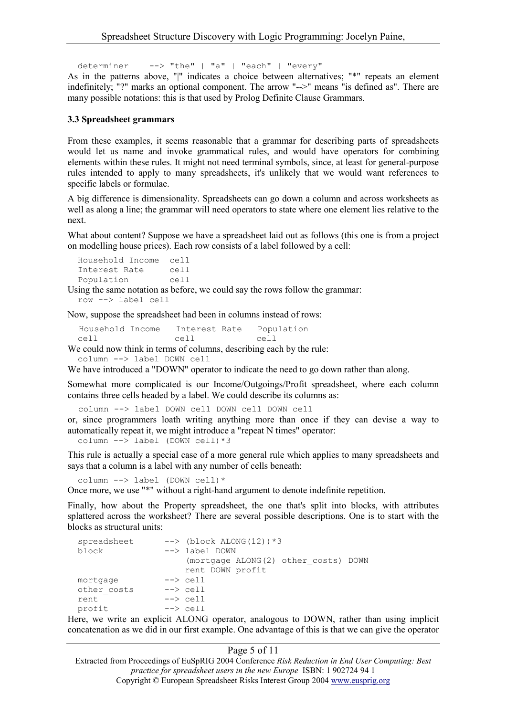determiner --> "the" | "a" | "each" | "every"

As in the patterns above, "|" indicates a choice between alternatives; "\*" repeats an element indefinitely; "?" marks an optional component. The arrow "-->" means "is defined as". There are many possible notations: this is that used by Prolog Definite Clause Grammars.

#### **3.3 Spreadsheet grammars**

From these examples, it seems reasonable that a grammar for describing parts of spreadsheets would let us name and invoke grammatical rules, and would have operators for combining elements within these rules. It might not need terminal symbols, since, at least for general-purpose rules intended to apply to many spreadsheets, it's unlikely that we would want references to specific labels or formulae.

A big difference is dimensionality. Spreadsheets can go down a column and across worksheets as well as along a line; the grammar will need operators to state where one element lies relative to the next.

What about content? Suppose we have a spreadsheet laid out as follows (this one is from a project on modelling house prices). Each row consists of a label followed by a cell:

Household Income cell Interest Rate cell Population cell

Using the same notation as before, we could say the rows follow the grammar:

```
row --> label cell
```
Now, suppose the spreadsheet had been in columns instead of rows:

Household Income Interest Rate Population cell cell cell

We could now think in terms of columns, describing each by the rule:

column --> label DOWN cell

We have introduced a "DOWN" operator to indicate the need to go down rather than along.

Somewhat more complicated is our Income/Outgoings/Profit spreadsheet, where each column contains three cells headed by a label. We could describe its columns as:

column --> label DOWN cell DOWN cell DOWN cell

or, since programmers loath writing anything more than once if they can devise a way to automatically repeat it, we might introduce a "repeat N times" operator:

column  $\left(-\right)$  label (DOWN cell) \*3

This rule is actually a special case of a more general rule which applies to many spreadsheets and says that a column is a label with any number of cells beneath:

column --> label (DOWN cell)\*

Once more, we use "\*" without a right-hand argument to denote indefinite repetition.

Finally, how about the Property spreadsheet, the one that's split into blocks, with attributes splattered across the worksheet? There are several possible descriptions. One is to start with the blocks as structural units:

```
spreadsheet --> (block ALONG(12)) *3
block --> label DOWN 
                  (mortgage ALONG(2) other_costs) DOWN 
                  rent DOWN profit 
mortgage --> cell<br>other costs --> cell
other costs
rent --> cell
profit --> cell
```
Here, we write an explicit ALONG operator, analogous to DOWN, rather than using implicit concatenation as we did in our first example. One advantage of this is that we can give the operator

#### Page 5 of 11

Extracted from Proceedings of EuSpRIG 2004 Conference *Risk Reduction in End User Computing: Best practice for spreadsheet users in the new Europe* ISBN: 1 902724 94 1 Copyright © European Spreadsheet Risks Interest Group 2004 www.eusprig.org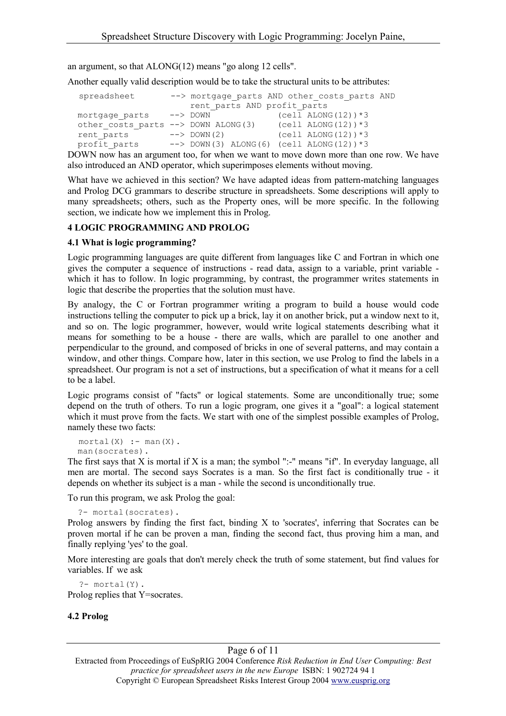an argument, so that ALONG(12) means "go along 12 cells".

Another equally valid description would be to take the structural units to be attributes:

| spreadsheet                         | rent parts AND profit parts | --> mortgage parts AND other costs parts AND      |
|-------------------------------------|-----------------------------|---------------------------------------------------|
| mortgage parts                      | --> DOWN                    | $(cell ALONG (12)) * 3$                           |
| other costs parts --> DOWN ALONG(3) |                             | (cell ALONG(12)) $*3$                             |
| rent parts                          | $\leftarrow$ > DOWN (2)     | $(cell ALONG (12)) * 3$                           |
| profit parts                        |                             | $\leftarrow$ DOWN(3) ALONG(6) (cell ALONG(12)) *3 |

DOWN now has an argument too, for when we want to move down more than one row. We have also introduced an AND operator, which superimposes elements without moving.

What have we achieved in this section? We have adapted ideas from pattern-matching languages and Prolog DCG grammars to describe structure in spreadsheets. Some descriptions will apply to many spreadsheets; others, such as the Property ones, will be more specific. In the following section, we indicate how we implement this in Prolog.

#### **4 LOGIC PROGRAMMING AND PROLOG**

#### **4.1 What is logic programming?**

Logic programming languages are quite different from languages like C and Fortran in which one gives the computer a sequence of instructions - read data, assign to a variable, print variable which it has to follow. In logic programming, by contrast, the programmer writes statements in logic that describe the properties that the solution must have.

By analogy, the C or Fortran programmer writing a program to build a house would code instructions telling the computer to pick up a brick, lay it on another brick, put a window next to it, and so on. The logic programmer, however, would write logical statements describing what it means for something to be a house - there are walls, which are parallel to one another and perpendicular to the ground, and composed of bricks in one of several patterns, and may contain a window, and other things. Compare how, later in this section, we use Prolog to find the labels in a spreadsheet. Our program is not a set of instructions, but a specification of what it means for a cell to be a label.

Logic programs consist of "facts" or logical statements. Some are unconditionally true; some depend on the truth of others. To run a logic program, one gives it a "goal": a logical statement which it must prove from the facts. We start with one of the simplest possible examples of Prolog, namely these two facts:

```
mortal(X) :- man(X).
man(socrates).
```
The first says that X is mortal if X is a man; the symbol ":-" means "if". In everyday language, all men are mortal. The second says Socrates is a man. So the first fact is conditionally true - it depends on whether its subject is a man - while the second is unconditionally true.

To run this program, we ask Prolog the goal:

```
?- mortal(socrates).
```
Prolog answers by finding the first fact, binding X to 'socrates', inferring that Socrates can be proven mortal if he can be proven a man, finding the second fact, thus proving him a man, and finally replying 'yes' to the goal.

More interesting are goals that don't merely check the truth of some statement, but find values for variables. If we ask

?- mortal(Y). Prolog replies that Y=socrates.

## **4.2 Prolog**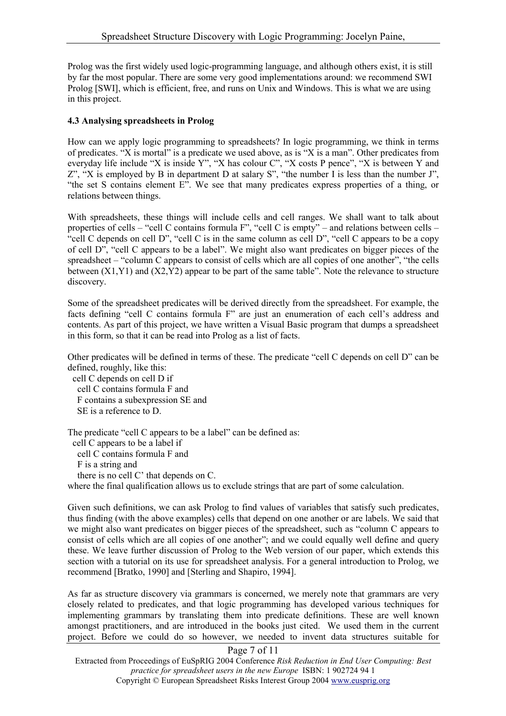Prolog was the first widely used logic-programming language, and although others exist, it is still by far the most popular. There are some very good implementations around: we recommend SWI Prolog [SWI], which is efficient, free, and runs on Unix and Windows. This is what we are using in this project.

## **4.3 Analysing spreadsheets in Prolog**

How can we apply logic programming to spreadsheets? In logic programming, we think in terms of predicates. "X is mortal" is a predicate we used above, as is "X is a man". Other predicates from everyday life include "X is inside Y", "X has colour C", "X costs P pence", "X is between Y and  $Z^{\prime\prime}$ , "X is employed by B in department D at salary S", "the number I is less than the number J", "the set S contains element E". We see that many predicates express properties of a thing, or relations between things.

With spreadsheets, these things will include cells and cell ranges. We shall want to talk about properties of cells – "cell C contains formula F", "cell C is empty" – and relations between cells – "cell C depends on cell D", "cell C is in the same column as cell D", "cell C appears to be a copy" of cell D", "cell C appears to be a label". We might also want predicates on bigger pieces of the spreadsheet – "column C appears to consist of cells which are all copies of one another", "the cells between (X1,Y1) and (X2,Y2) appear to be part of the same table". Note the relevance to structure discovery.

Some of the spreadsheet predicates will be derived directly from the spreadsheet. For example, the facts defining "cell C contains formula F" are just an enumeration of each cell's address and contents. As part of this project, we have written a Visual Basic program that dumps a spreadsheet in this form, so that it can be read into Prolog as a list of facts.

Other predicates will be defined in terms of these. The predicate "cell C depends on cell D" can be defined, roughly, like this:

cell C depends on cell D if cell C contains formula F and F contains a subexpression SE and SE is a reference to D.

The predicate "cell C appears to be a label" can be defined as:

cell C appears to be a label if

cell C contains formula F and

F is a string and

there is no cell C' that depends on C.

where the final qualification allows us to exclude strings that are part of some calculation.

Given such definitions, we can ask Prolog to find values of variables that satisfy such predicates, thus finding (with the above examples) cells that depend on one another or are labels. We said that we might also want predicates on bigger pieces of the spreadsheet, such as "column C appears to consist of cells which are all copies of one another"; and we could equally well define and query these. We leave further discussion of Prolog to the Web version of our paper, which extends this section with a tutorial on its use for spreadsheet analysis. For a general introduction to Prolog, we recommend [Bratko, 1990] and [Sterling and Shapiro, 1994].

As far as structure discovery via grammars is concerned, we merely note that grammars are very closely related to predicates, and that logic programming has developed various techniques for implementing grammars by translating them into predicate definitions. These are well known amongst practitioners, and are introduced in the books just cited. We used them in the current project. Before we could do so however, we needed to invent data structures suitable for

#### Page 7 of 11 Extracted from Proceedings of EuSpRIG 2004 Conference *Risk Reduction in End User Computing: Best practice for spreadsheet users in the new Europe* ISBN: 1 902724 94 1 Copyright © European Spreadsheet Risks Interest Group 2004 www.eusprig.org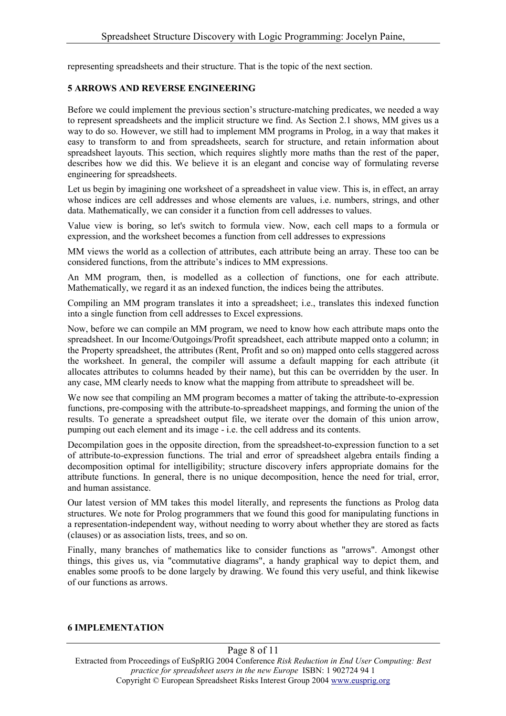representing spreadsheets and their structure. That is the topic of the next section.

## **5 ARROWS AND REVERSE ENGINEERING**

Before we could implement the previous section's structure-matching predicates, we needed a way to represent spreadsheets and the implicit structure we find. As Section 2.1 shows, MM gives us a way to do so. However, we still had to implement MM programs in Prolog, in a way that makes it easy to transform to and from spreadsheets, search for structure, and retain information about spreadsheet layouts. This section, which requires slightly more maths than the rest of the paper, describes how we did this. We believe it is an elegant and concise way of formulating reverse engineering for spreadsheets.

Let us begin by imagining one worksheet of a spreadsheet in value view. This is, in effect, an array whose indices are cell addresses and whose elements are values, i.e. numbers, strings, and other data. Mathematically, we can consider it a function from cell addresses to values.

Value view is boring, so let's switch to formula view. Now, each cell maps to a formula or expression, and the worksheet becomes a function from cell addresses to expressions

MM views the world as a collection of attributes, each attribute being an array. These too can be considered functions, from the attribute's indices to MM expressions.

An MM program, then, is modelled as a collection of functions, one for each attribute. Mathematically, we regard it as an indexed function, the indices being the attributes.

Compiling an MM program translates it into a spreadsheet; i.e., translates this indexed function into a single function from cell addresses to Excel expressions.

Now, before we can compile an MM program, we need to know how each attribute maps onto the spreadsheet. In our Income/Outgoings/Profit spreadsheet, each attribute mapped onto a column; in the Property spreadsheet, the attributes (Rent, Profit and so on) mapped onto cells staggered across the worksheet. In general, the compiler will assume a default mapping for each attribute (it allocates attributes to columns headed by their name), but this can be overridden by the user. In any case, MM clearly needs to know what the mapping from attribute to spreadsheet will be.

We now see that compiling an MM program becomes a matter of taking the attribute-to-expression functions, pre-composing with the attribute-to-spreadsheet mappings, and forming the union of the results. To generate a spreadsheet output file, we iterate over the domain of this union arrow, pumping out each element and its image - i.e. the cell address and its contents.

Decompilation goes in the opposite direction, from the spreadsheet-to-expression function to a set of attribute-to-expression functions. The trial and error of spreadsheet algebra entails finding a decomposition optimal for intelligibility; structure discovery infers appropriate domains for the attribute functions. In general, there is no unique decomposition, hence the need for trial, error, and human assistance.

Our latest version of MM takes this model literally, and represents the functions as Prolog data structures. We note for Prolog programmers that we found this good for manipulating functions in a representation-independent way, without needing to worry about whether they are stored as facts (clauses) or as association lists, trees, and so on.

Finally, many branches of mathematics like to consider functions as "arrows". Amongst other things, this gives us, via "commutative diagrams", a handy graphical way to depict them, and enables some proofs to be done largely by drawing. We found this very useful, and think likewise of our functions as arrows.

## **6 IMPLEMENTATION**

Page 8 of 11 Extracted from Proceedings of EuSpRIG 2004 Conference *Risk Reduction in End User Computing: Best practice for spreadsheet users in the new Europe* ISBN: 1 902724 94 1 Copyright © European Spreadsheet Risks Interest Group 2004 www.eusprig.org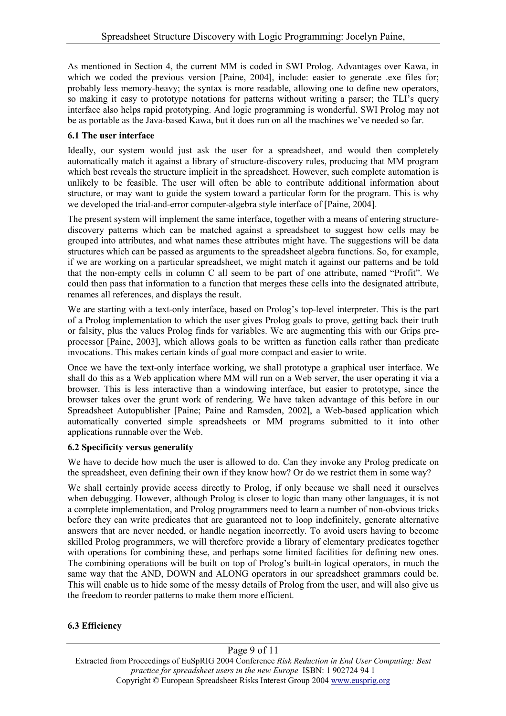As mentioned in Section 4, the current MM is coded in SWI Prolog. Advantages over Kawa, in which we coded the previous version [Paine, 2004], include: easier to generate .exe files for; probably less memory-heavy; the syntax is more readable, allowing one to define new operators, so making it easy to prototype notations for patterns without writing a parser; the TLI's query interface also helps rapid prototyping. And logic programming is wonderful. SWI Prolog may not be as portable as the Java-based Kawa, but it does run on all the machines we've needed so far.

## **6.1 The user interface**

Ideally, our system would just ask the user for a spreadsheet, and would then completely automatically match it against a library of structure-discovery rules, producing that MM program which best reveals the structure implicit in the spreadsheet. However, such complete automation is unlikely to be feasible. The user will often be able to contribute additional information about structure, or may want to guide the system toward a particular form for the program. This is why we developed the trial-and-error computer-algebra style interface of [Paine, 2004].

The present system will implement the same interface, together with a means of entering structurediscovery patterns which can be matched against a spreadsheet to suggest how cells may be grouped into attributes, and what names these attributes might have. The suggestions will be data structures which can be passed as arguments to the spreadsheet algebra functions. So, for example, if we are working on a particular spreadsheet, we might match it against our patterns and be told that the non-empty cells in column C all seem to be part of one attribute, named "Profit". We could then pass that information to a function that merges these cells into the designated attribute, renames all references, and displays the result.

We are starting with a text-only interface, based on Prolog's top-level interpreter. This is the part of a Prolog implementation to which the user gives Prolog goals to prove, getting back their truth or falsity, plus the values Prolog finds for variables. We are augmenting this with our Grips preprocessor [Paine, 2003], which allows goals to be written as function calls rather than predicate invocations. This makes certain kinds of goal more compact and easier to write.

Once we have the text-only interface working, we shall prototype a graphical user interface. We shall do this as a Web application where MM will run on a Web server, the user operating it via a browser. This is less interactive than a windowing interface, but easier to prototype, since the browser takes over the grunt work of rendering. We have taken advantage of this before in our Spreadsheet Autopublisher [Paine; Paine and Ramsden, 2002], a Web-based application which automatically converted simple spreadsheets or MM programs submitted to it into other applications runnable over the Web.

# **6.2 Specificity versus generality**

We have to decide how much the user is allowed to do. Can they invoke any Prolog predicate on the spreadsheet, even defining their own if they know how? Or do we restrict them in some way?

We shall certainly provide access directly to Prolog, if only because we shall need it ourselves when debugging. However, although Prolog is closer to logic than many other languages, it is not a complete implementation, and Prolog programmers need to learn a number of non-obvious tricks before they can write predicates that are guaranteed not to loop indefinitely, generate alternative answers that are never needed, or handle negation incorrectly. To avoid users having to become skilled Prolog programmers, we will therefore provide a library of elementary predicates together with operations for combining these, and perhaps some limited facilities for defining new ones. The combining operations will be built on top of Prolog's built-in logical operators, in much the same way that the AND, DOWN and ALONG operators in our spreadsheet grammars could be. This will enable us to hide some of the messy details of Prolog from the user, and will also give us the freedom to reorder patterns to make them more efficient.

# **6.3 Efficiency**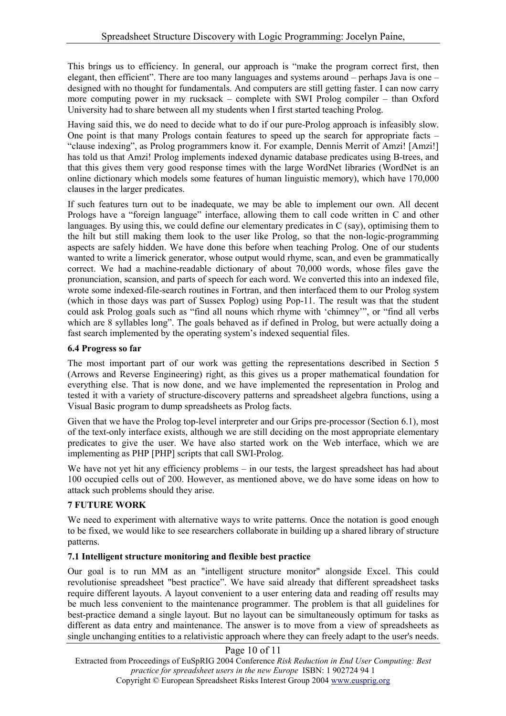This brings us to efficiency. In general, our approach is "make the program correct first, then elegant, then efficient". There are too many languages and systems around – perhaps Java is one – designed with no thought for fundamentals. And computers are still getting faster. I can now carry more computing power in my rucksack – complete with SWI Prolog compiler – than Oxford University had to share between all my students when I first started teaching Prolog.

Having said this, we do need to decide what to do if our pure-Prolog approach is infeasibly slow. One point is that many Prologs contain features to speed up the search for appropriate facts – "clause indexing", as Prolog programmers know it. For example, Dennis Merrit of Amzi! [Amzi!] has told us that Amzi! Prolog implements indexed dynamic database predicates using B-trees, and that this gives them very good response times with the large WordNet libraries (WordNet is an online dictionary which models some features of human linguistic memory), which have 170,000 clauses in the larger predicates.

If such features turn out to be inadequate, we may be able to implement our own. All decent Prologs have a "foreign language" interface, allowing them to call code written in C and other languages. By using this, we could define our elementary predicates in C (say), optimising them to the hilt but still making them look to the user like Prolog, so that the non-logic-programming aspects are safely hidden. We have done this before when teaching Prolog. One of our students wanted to write a limerick generator, whose output would rhyme, scan, and even be grammatically correct. We had a machine-readable dictionary of about 70,000 words, whose files gave the pronunciation, scansion, and parts of speech for each word. We converted this into an indexed file, wrote some indexed-file-search routines in Fortran, and then interfaced them to our Prolog system (which in those days was part of Sussex Poplog) using Pop-11. The result was that the student could ask Prolog goals such as "find all nouns which rhyme with 'chimney'", or "find all verbs which are 8 syllables long". The goals behaved as if defined in Prolog, but were actually doing a fast search implemented by the operating system's indexed sequential files.

## **6.4 Progress so far**

The most important part of our work was getting the representations described in Section 5 (Arrows and Reverse Engineering) right, as this gives us a proper mathematical foundation for everything else. That is now done, and we have implemented the representation in Prolog and tested it with a variety of structure-discovery patterns and spreadsheet algebra functions, using a Visual Basic program to dump spreadsheets as Prolog facts.

Given that we have the Prolog top-level interpreter and our Grips pre-processor (Section 6.1), most of the text-only interface exists, although we are still deciding on the most appropriate elementary predicates to give the user. We have also started work on the Web interface, which we are implementing as PHP [PHP] scripts that call SWI-Prolog.

We have not yet hit any efficiency problems – in our tests, the largest spreadsheet has had about 100 occupied cells out of 200. However, as mentioned above, we do have some ideas on how to attack such problems should they arise.

## **7 FUTURE WORK**

We need to experiment with alternative ways to write patterns. Once the notation is good enough to be fixed, we would like to see researchers collaborate in building up a shared library of structure patterns.

## **7.1 Intelligent structure monitoring and flexible best practice**

Our goal is to run MM as an "intelligent structure monitor" alongside Excel. This could revolutionise spreadsheet "best practice". We have said already that different spreadsheet tasks require different layouts. A layout convenient to a user entering data and reading off results may be much less convenient to the maintenance programmer. The problem is that all guidelines for best-practice demand a single layout. But no layout can be simultaneously optimum for tasks as different as data entry and maintenance. The answer is to move from a view of spreadsheets as single unchanging entities to a relativistic approach where they can freely adapt to the user's needs.